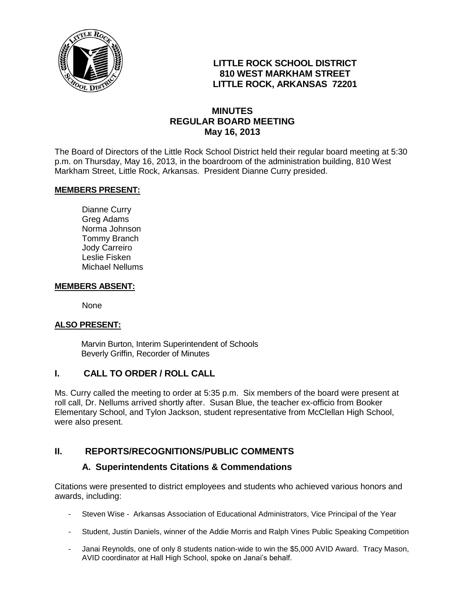

## **LITTLE ROCK SCHOOL DISTRICT 810 WEST MARKHAM STREET LITTLE ROCK, ARKANSAS 72201**

## **MINUTES REGULAR BOARD MEETING May 16, 2013**

The Board of Directors of the Little Rock School District held their regular board meeting at 5:30 p.m. on Thursday, May 16, 2013, in the boardroom of the administration building, 810 West Markham Street, Little Rock, Arkansas. President Dianne Curry presided.

#### **MEMBERS PRESENT:**

Dianne Curry Greg Adams Norma Johnson Tommy Branch Jody Carreiro Leslie Fisken Michael Nellums

#### **MEMBERS ABSENT:**

None

#### **ALSO PRESENT:**

 Marvin Burton, Interim Superintendent of Schools Beverly Griffin, Recorder of Minutes

### **I. CALL TO ORDER / ROLL CALL**

Ms. Curry called the meeting to order at 5:35 p.m. Six members of the board were present at roll call, Dr. Nellums arrived shortly after. Susan Blue, the teacher ex-officio from Booker Elementary School, and Tylon Jackson, student representative from McClellan High School, were also present.

### **II. REPORTS/RECOGNITIONS/PUBLIC COMMENTS**

### **A. Superintendents Citations & Commendations**

Citations were presented to district employees and students who achieved various honors and awards, including:

- Steven Wise Arkansas Association of Educational Administrators, Vice Principal of the Year
- Student, Justin Daniels, winner of the Addie Morris and Ralph Vines Public Speaking Competition
- Janai Reynolds, one of only 8 students nation-wide to win the \$5,000 AVID Award. Tracy Mason, AVID coordinator at Hall High School, spoke on Janai's behalf.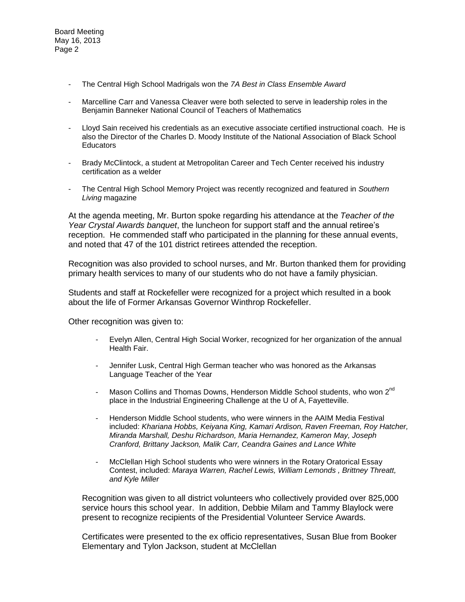Board Meeting May 16, 2013 Page 2

- The Central High School Madrigals won the *7A Best in Class Ensemble Award*
- Marcelline Carr and Vanessa Cleaver were both selected to serve in leadership roles in the Benjamin Banneker National Council of Teachers of Mathematics
- Lloyd Sain received his credentials as an executive associate certified instructional coach. He is also the Director of the Charles D. Moody Institute of the National Association of Black School **Educators**
- Brady McClintock, a student at Metropolitan Career and Tech Center received his industry certification as a welder
- The Central High School Memory Project was recently recognized and featured in *Southern Living* magazine

At the agenda meeting, Mr. Burton spoke regarding his attendance at the *Teacher of the Year Crystal Awards banquet*, the luncheon for support staff and the annual retiree's reception. He commended staff who participated in the planning for these annual events, and noted that 47 of the 101 district retirees attended the reception.

Recognition was also provided to school nurses, and Mr. Burton thanked them for providing primary health services to many of our students who do not have a family physician.

Students and staff at Rockefeller were recognized for a project which resulted in a book about the life of Former Arkansas Governor Winthrop Rockefeller.

Other recognition was given to:

- Evelyn Allen, Central High Social Worker, recognized for her organization of the annual Health Fair.
- Jennifer Lusk, Central High German teacher who was honored as the Arkansas Language Teacher of the Year
- Mason Collins and Thomas Downs, Henderson Middle School students, who won 2<sup>nd</sup> place in the Industrial Engineering Challenge at the U of A, Fayetteville.
- Henderson Middle School students, who were winners in the AAIM Media Festival included: *Khariana Hobbs, Keiyana King, Kamari Ardison, Raven Freeman, Roy Hatcher, Miranda Marshall, Deshu Richardson, Maria Hernandez, Kameron May, Joseph Cranford, Brittany Jackson, Malik Carr, Ceandra Gaines and Lance White*
- McClellan High School students who were winners in the Rotary Oratorical Essay Contest, included: *Maraya Warren, Rachel Lewis, William Lemonds , Brittney Threatt, and Kyle Miller*

Recognition was given to all district volunteers who collectively provided over 825,000 service hours this school year. In addition, Debbie Milam and Tammy Blaylock were present to recognize recipients of the Presidential Volunteer Service Awards.

Certificates were presented to the ex officio representatives, Susan Blue from Booker Elementary and Tylon Jackson, student at McClellan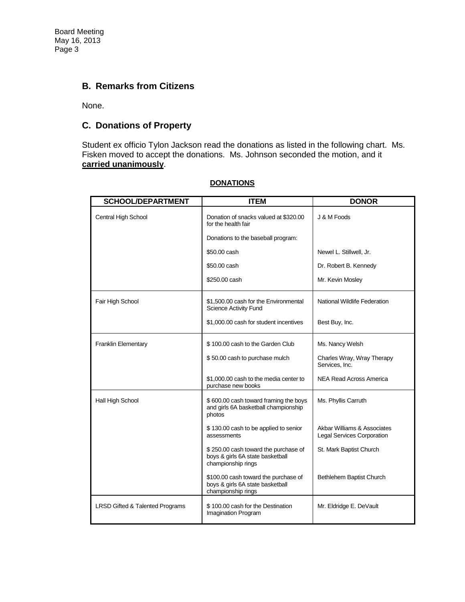Board Meeting May 16, 2013 Page 3

### **B. Remarks from Citizens**

None.

## **C. Donations of Property**

Student ex officio Tylon Jackson read the donations as listed in the following chart. Ms. Fisken moved to accept the donations. Ms. Johnson seconded the motion, and it **carried unanimously**.

| <b>SCHOOL/DEPARTMENT</b>                   | <b>ITEM</b>                                                                                    | <b>DONOR</b>                                              |
|--------------------------------------------|------------------------------------------------------------------------------------------------|-----------------------------------------------------------|
| Central High School                        | Donation of snacks valued at \$320.00<br>for the health fair                                   | J & M Foods                                               |
|                                            | Donations to the baseball program:                                                             |                                                           |
|                                            | \$50.00 cash                                                                                   | Newel L. Stillwell, Jr.                                   |
|                                            | \$50.00 cash                                                                                   | Dr. Robert B. Kennedy                                     |
|                                            | \$250.00 cash                                                                                  | Mr. Kevin Mosley                                          |
| Fair High School                           | \$1,500.00 cash for the Environmental<br><b>Science Activity Fund</b>                          | National Wildlife Federation                              |
|                                            | \$1,000.00 cash for student incentives                                                         | Best Buy, Inc.                                            |
| <b>Franklin Elementary</b>                 | \$100.00 cash to the Garden Club                                                               | Ms. Nancy Welsh                                           |
|                                            | \$50.00 cash to purchase mulch                                                                 | Charles Wray, Wray Therapy<br>Services, Inc.              |
|                                            | \$1,000,00 cash to the media center to<br>purchase new books                                   | NEA Read Across America                                   |
| Hall High School                           | \$600.00 cash toward framing the boys<br>and girls 6A basketball championship<br>photos        | Ms. Phyllis Carruth                                       |
|                                            | \$130.00 cash to be applied to senior<br>assessments                                           | Akbar Williams & Associates<br>Legal Services Corporation |
|                                            | \$250.00 cash toward the purchase of<br>boys & girls 6A state basketball<br>championship rings | St. Mark Baptist Church                                   |
|                                            | \$100.00 cash toward the purchase of<br>boys & girls 6A state basketball<br>championship rings | Bethlehem Baptist Church                                  |
| <b>LRSD Gifted &amp; Talented Programs</b> | \$100.00 cash for the Destination<br>Imagination Program                                       | Mr. Eldridge E. DeVault                                   |

#### **DONATIONS**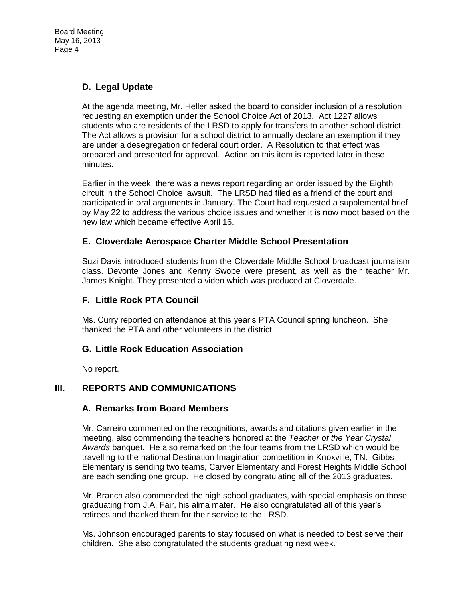# **D. Legal Update**

At the agenda meeting, Mr. Heller asked the board to consider inclusion of a resolution requesting an exemption under the School Choice Act of 2013. Act 1227 allows students who are residents of the LRSD to apply for transfers to another school district. The Act allows a provision for a school district to annually declare an exemption if they are under a desegregation or federal court order. A Resolution to that effect was prepared and presented for approval. Action on this item is reported later in these minutes.

Earlier in the week, there was a news report regarding an order issued by the Eighth circuit in the School Choice lawsuit. The LRSD had filed as a friend of the court and participated in oral arguments in January. The Court had requested a supplemental brief by May 22 to address the various choice issues and whether it is now moot based on the new law which became effective April 16.

## **E. Cloverdale Aerospace Charter Middle School Presentation**

Suzi Davis introduced students from the Cloverdale Middle School broadcast journalism class. Devonte Jones and Kenny Swope were present, as well as their teacher Mr. James Knight. They presented a video which was produced at Cloverdale.

## **F. Little Rock PTA Council**

Ms. Curry reported on attendance at this year's PTA Council spring luncheon. She thanked the PTA and other volunteers in the district.

### **G. Little Rock Education Association**

No report.

### **III. REPORTS AND COMMUNICATIONS**

### **A. Remarks from Board Members**

Mr. Carreiro commented on the recognitions, awards and citations given earlier in the meeting, also commending the teachers honored at the *Teacher of the Year Crystal Awards* banquet. He also remarked on the four teams from the LRSD which would be travelling to the national Destination Imagination competition in Knoxville, TN. Gibbs Elementary is sending two teams, Carver Elementary and Forest Heights Middle School are each sending one group. He closed by congratulating all of the 2013 graduates.

Mr. Branch also commended the high school graduates, with special emphasis on those graduating from J.A. Fair, his alma mater. He also congratulated all of this year's retirees and thanked them for their service to the LRSD.

Ms. Johnson encouraged parents to stay focused on what is needed to best serve their children. She also congratulated the students graduating next week.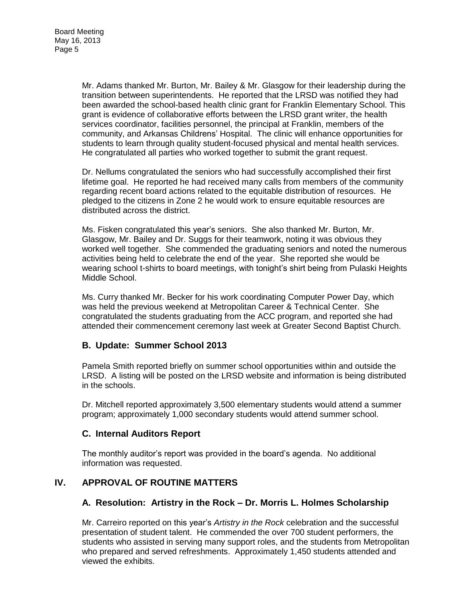Mr. Adams thanked Mr. Burton, Mr. Bailey & Mr. Glasgow for their leadership during the transition between superintendents. He reported that the LRSD was notified they had been awarded the school-based health clinic grant for Franklin Elementary School. This grant is evidence of collaborative efforts between the LRSD grant writer, the health services coordinator, facilities personnel, the principal at Franklin, members of the community, and Arkansas Childrens' Hospital. The clinic will enhance opportunities for students to learn through quality student-focused physical and mental health services. He congratulated all parties who worked together to submit the grant request.

Dr. Nellums congratulated the seniors who had successfully accomplished their first lifetime goal. He reported he had received many calls from members of the community regarding recent board actions related to the equitable distribution of resources. He pledged to the citizens in Zone 2 he would work to ensure equitable resources are distributed across the district.

Ms. Fisken congratulated this year's seniors. She also thanked Mr. Burton, Mr. Glasgow, Mr. Bailey and Dr. Suggs for their teamwork, noting it was obvious they worked well together. She commended the graduating seniors and noted the numerous activities being held to celebrate the end of the year. She reported she would be wearing school t-shirts to board meetings, with tonight's shirt being from Pulaski Heights Middle School.

Ms. Curry thanked Mr. Becker for his work coordinating Computer Power Day, which was held the previous weekend at Metropolitan Career & Technical Center. She congratulated the students graduating from the ACC program, and reported she had attended their commencement ceremony last week at Greater Second Baptist Church.

### **B. Update: Summer School 2013**

Pamela Smith reported briefly on summer school opportunities within and outside the LRSD. A listing will be posted on the LRSD website and information is being distributed in the schools.

Dr. Mitchell reported approximately 3,500 elementary students would attend a summer program; approximately 1,000 secondary students would attend summer school.

### **C. Internal Auditors Report**

The monthly auditor's report was provided in the board's agenda. No additional information was requested.

### **IV. APPROVAL OF ROUTINE MATTERS**

### **A. Resolution: Artistry in the Rock – Dr. Morris L. Holmes Scholarship**

Mr. Carreiro reported on this year's *Artistry in the Rock* celebration and the successful presentation of student talent. He commended the over 700 student performers, the students who assisted in serving many support roles, and the students from Metropolitan who prepared and served refreshments. Approximately 1,450 students attended and viewed the exhibits.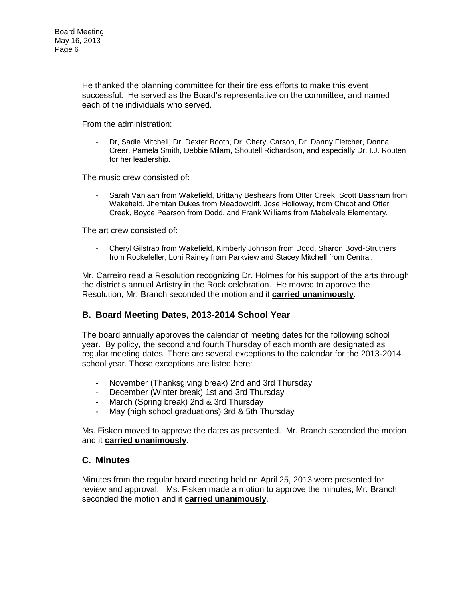He thanked the planning committee for their tireless efforts to make this event successful. He served as the Board's representative on the committee, and named each of the individuals who served.

From the administration:

- Dr, Sadie Mitchell, Dr. Dexter Booth, Dr. Cheryl Carson, Dr. Danny Fletcher, Donna Creer, Pamela Smith, Debbie Milam, Shoutell Richardson, and especially Dr. I.J. Routen for her leadership.

The music crew consisted of:

- Sarah Vanlaan from Wakefield, Brittany Beshears from Otter Creek, Scott Bassham from Wakefield, Jherritan Dukes from Meadowcliff, Jose Holloway, from Chicot and Otter Creek, Boyce Pearson from Dodd, and Frank Williams from Mabelvale Elementary.

The art crew consisted of:

- Cheryl Gilstrap from Wakefield, Kimberly Johnson from Dodd, Sharon Boyd-Struthers from Rockefeller, Loni Rainey from Parkview and Stacey Mitchell from Central.

Mr. Carreiro read a Resolution recognizing Dr. Holmes for his support of the arts through the district's annual Artistry in the Rock celebration. He moved to approve the Resolution, Mr. Branch seconded the motion and it **carried unanimously**.

### **B. Board Meeting Dates, 2013-2014 School Year**

The board annually approves the calendar of meeting dates for the following school year. By policy, the second and fourth Thursday of each month are designated as regular meeting dates. There are several exceptions to the calendar for the 2013-2014 school year. Those exceptions are listed here:

- November (Thanksgiving break) 2nd and 3rd Thursday
- December (Winter break) 1st and 3rd Thursday
- March (Spring break) 2nd & 3rd Thursday
- May (high school graduations) 3rd & 5th Thursday

Ms. Fisken moved to approve the dates as presented. Mr. Branch seconded the motion and it **carried unanimously**.

### **C. Minutes**

Minutes from the regular board meeting held on April 25, 2013 were presented for review and approval. Ms. Fisken made a motion to approve the minutes; Mr. Branch seconded the motion and it **carried unanimously**.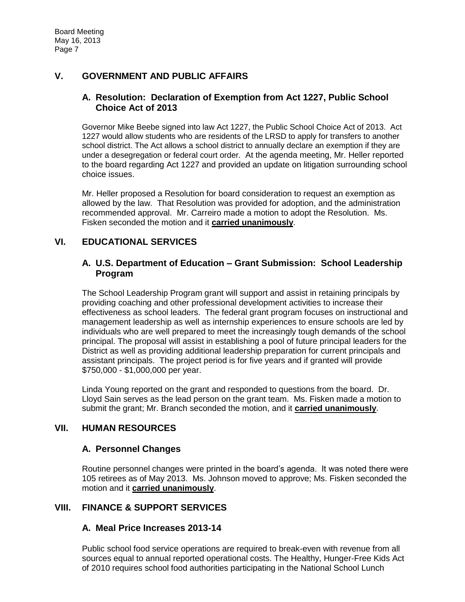## **V. GOVERNMENT AND PUBLIC AFFAIRS**

### **A. Resolution: Declaration of Exemption from Act 1227, Public School Choice Act of 2013**

Governor Mike Beebe signed into law Act 1227, the Public School Choice Act of 2013. Act 1227 would allow students who are residents of the LRSD to apply for transfers to another school district. The Act allows a school district to annually declare an exemption if they are under a desegregation or federal court order. At the agenda meeting, Mr. Heller reported to the board regarding Act 1227 and provided an update on litigation surrounding school choice issues.

Mr. Heller proposed a Resolution for board consideration to request an exemption as allowed by the law. That Resolution was provided for adoption, and the administration recommended approval. Mr. Carreiro made a motion to adopt the Resolution. Ms. Fisken seconded the motion and it **carried unanimously**.

## **VI. EDUCATIONAL SERVICES**

### **A. U.S. Department of Education – Grant Submission: School Leadership Program**

The School Leadership Program grant will support and assist in retaining principals by providing coaching and other professional development activities to increase their effectiveness as school leaders. The federal grant program focuses on instructional and management leadership as well as internship experiences to ensure schools are led by individuals who are well prepared to meet the increasingly tough demands of the school principal. The proposal will assist in establishing a pool of future principal leaders for the District as well as providing additional leadership preparation for current principals and assistant principals. The project period is for five years and if granted will provide \$750,000 - \$1,000,000 per year.

Linda Young reported on the grant and responded to questions from the board. Dr. Lloyd Sain serves as the lead person on the grant team. Ms. Fisken made a motion to submit the grant; Mr. Branch seconded the motion, and it **carried unanimously**.

### **VII. HUMAN RESOURCES**

### **A. Personnel Changes**

Routine personnel changes were printed in the board's agenda. It was noted there were 105 retirees as of May 2013. Ms. Johnson moved to approve; Ms. Fisken seconded the motion and it **carried unanimously**.

### **VIII. FINANCE & SUPPORT SERVICES**

#### **A. Meal Price Increases 2013-14**

Public school food service operations are required to break-even with revenue from all sources equal to annual reported operational costs. The Healthy, Hunger-Free Kids Act of 2010 requires school food authorities participating in the National School Lunch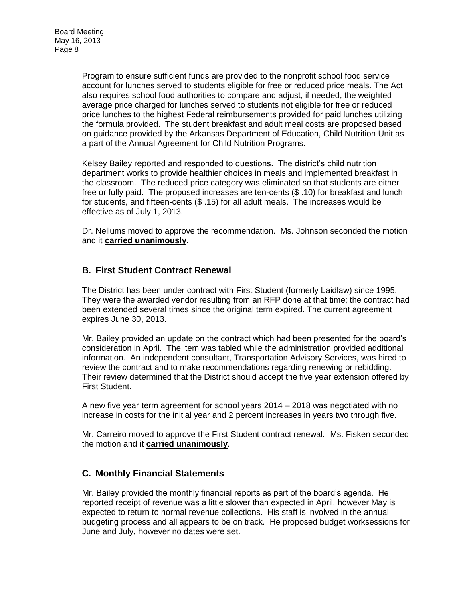Program to ensure sufficient funds are provided to the nonprofit school food service account for lunches served to students eligible for free or reduced price meals. The Act also requires school food authorities to compare and adjust, if needed, the weighted average price charged for lunches served to students not eligible for free or reduced price lunches to the highest Federal reimbursements provided for paid lunches utilizing the formula provided. The student breakfast and adult meal costs are proposed based on guidance provided by the Arkansas Department of Education, Child Nutrition Unit as a part of the Annual Agreement for Child Nutrition Programs.

Kelsey Bailey reported and responded to questions. The district's child nutrition department works to provide healthier choices in meals and implemented breakfast in the classroom. The reduced price category was eliminated so that students are either free or fully paid. The proposed increases are ten-cents (\$.10) for breakfast and lunch for students, and fifteen-cents (\$ .15) for all adult meals. The increases would be effective as of July 1, 2013.

Dr. Nellums moved to approve the recommendation. Ms. Johnson seconded the motion and it **carried unanimously**.

#### **B. First Student Contract Renewal**

The District has been under contract with First Student (formerly Laidlaw) since 1995. They were the awarded vendor resulting from an RFP done at that time; the contract had been extended several times since the original term expired. The current agreement expires June 30, 2013.

Mr. Bailey provided an update on the contract which had been presented for the board's consideration in April. The item was tabled while the administration provided additional information. An independent consultant, Transportation Advisory Services, was hired to review the contract and to make recommendations regarding renewing or rebidding. Their review determined that the District should accept the five year extension offered by First Student.

A new five year term agreement for school years 2014 – 2018 was negotiated with no increase in costs for the initial year and 2 percent increases in years two through five.

Mr. Carreiro moved to approve the First Student contract renewal. Ms. Fisken seconded the motion and it **carried unanimously**.

### **C. Monthly Financial Statements**

Mr. Bailey provided the monthly financial reports as part of the board's agenda. He reported receipt of revenue was a little slower than expected in April, however May is expected to return to normal revenue collections. His staff is involved in the annual budgeting process and all appears to be on track. He proposed budget worksessions for June and July, however no dates were set.